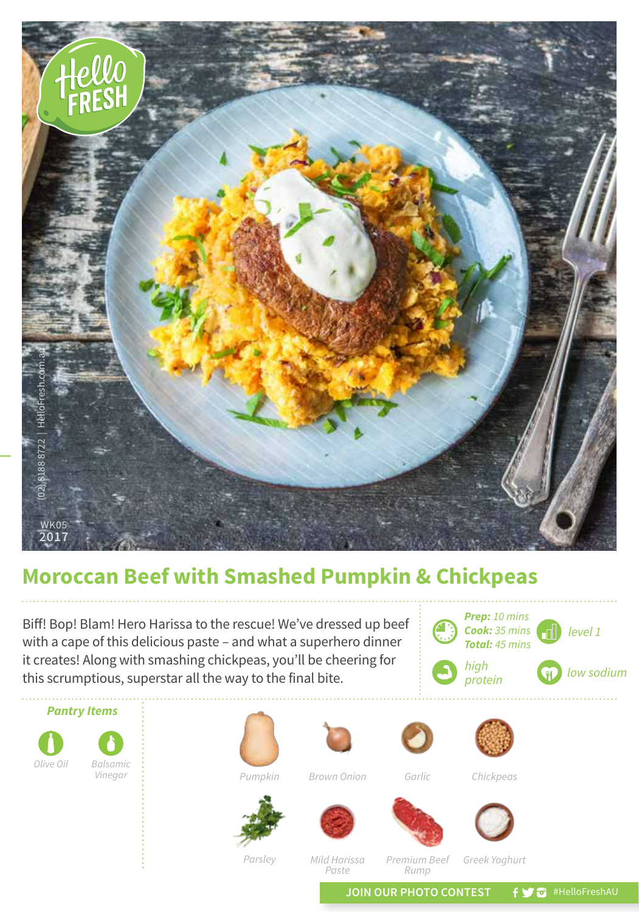

## **Moroccan Beef with Smashed Pumpkin & Chickpeas**

**level 1** Biff! Bop! Blam! Hero Harissa to the rescue! We've dressed up beef  $\Box$  **Cook:** 35 mins with a cape of this delicious paste – and what a superhero dinner it creates! Along with smashing chickpeas, you'll be cheering for this scrumptious, superstar all the way to the final bite.





*Parsley Mild Harissa Paste*

*Premium Beef Rump*

*Greek Yoghurt*

JOIN OUR PHOTO CONTEST **f y** a #HelloFreshAU